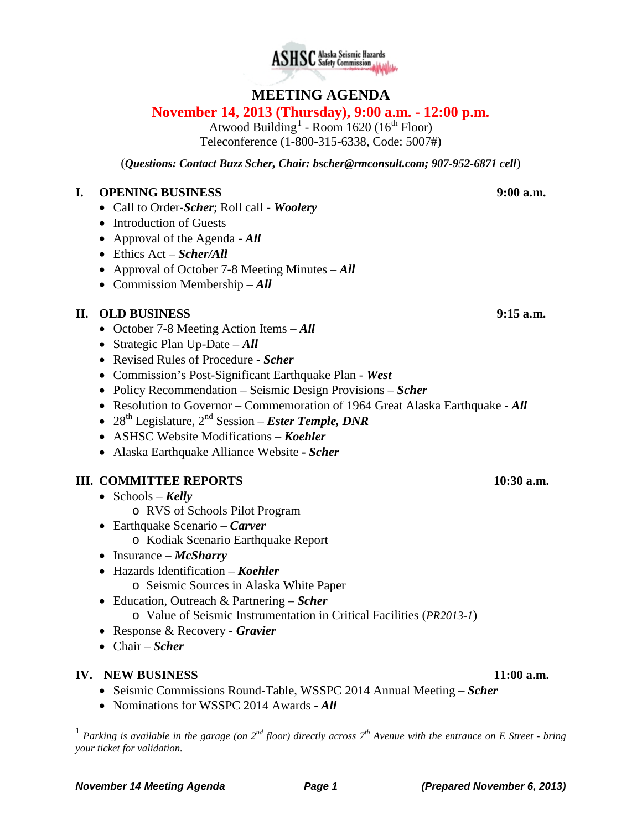



# **MEETING AGENDA**

## **November 14, 2013 (Thursday), 9:00 a.m. - 12:00 p.m.**

Atwood Building<sup>[1](#page-0-0)</sup> - Room 1620 (16<sup>th</sup> Floor) Teleconference (1-800-315-6338, Code: 5007#)

(*Questions: Contact Buzz Scher, Chair: [bscher@rmconsult.com;](mailto:bscher@rmconsult.com) 907-952-6871 cell*)

## **I. OPENING BUSINESS 9:00 a.m.**

- Call to Order-*Scher*; Roll call *Woolery*
- Introduction of Guests
- Approval of the Agenda *All*
- Ethics Act *Scher/All*
- Approval of October 7-8 Meeting Minutes *All*
- Commission Membership *All*

## **II. OLD BUSINESS 9:15 a.m.**

- October 7-8 Meeting Action Items *All*
- Strategic Plan Up-Date *All*
- Revised Rules of Procedure *Scher*
- Commission's Post-Significant Earthquake Plan *West*
- Policy Recommendation Seismic Design Provisions *Scher*
- Resolution to Governor Commemoration of 1964 Great Alaska Earthquake *All*
- 28<sup>th</sup> Legislature, 2<sup>nd</sup> Session *Ester Temple, DNR*
- ASHSC Website Modifications *Koehler*
- Alaska Earthquake Alliance Website **-** *Scher*

## **III. COMMITTEE REPORTS 10:30 a.m.**

- Schools *Kelly*
	- o RVS of Schools Pilot Program
- Earthquake Scenario *Carver*
	- o Kodiak Scenario Earthquake Report
- Insurance *McSharry*
- Hazards Identification *Koehler*
	- o Seismic Sources in Alaska White Paper
- Education, Outreach & Partnering *Scher*
	- o Value of Seismic Instrumentation in Critical Facilities (*PR2013-1*)
- Response & Recovery *Gravier*
- Chair *Scher*

### **IV. NEW BUSINESS 11:00 a.m.**

- Seismic Commissions Round-Table, WSSPC 2014 Annual Meeting *Scher*
- Nominations for WSSPC 2014 Awards *All*

<span id="page-0-0"></span> <sup>1</sup> *Parking is available in the garage (on 2nd floor) directly across 7th Avenue with the entrance on E Street - bring your ticket for validation.*